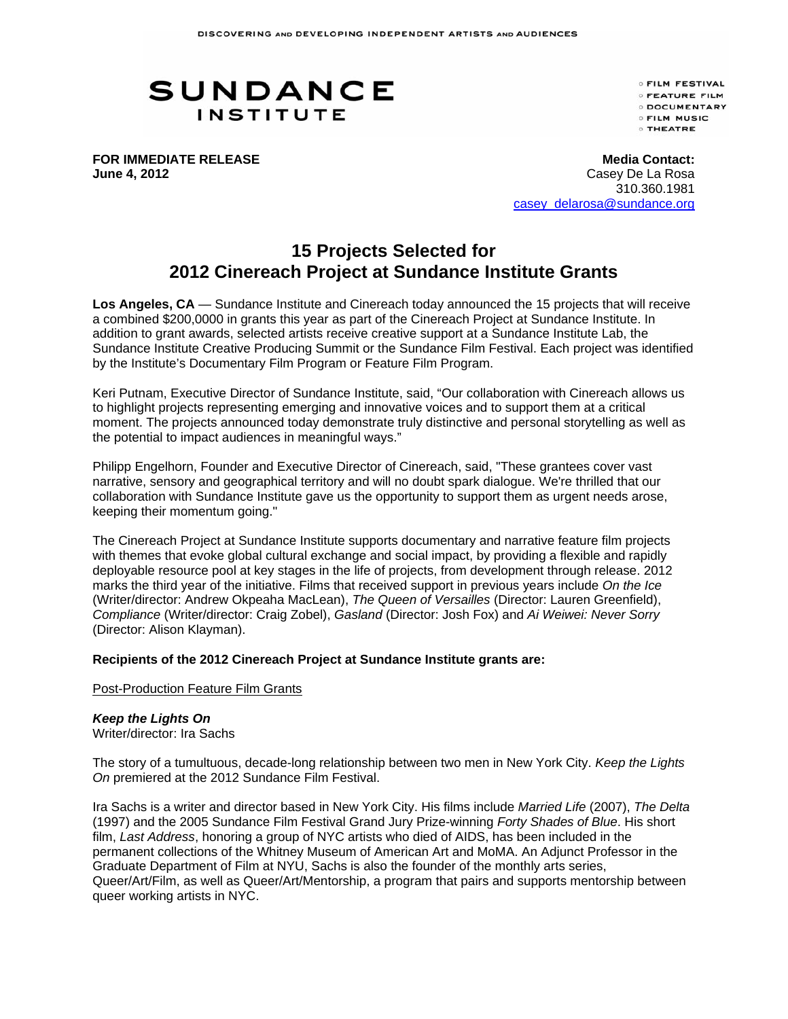# **SUNDANCE INSTITUTE**

**OFILM FESTIVAL OFEATURE FILM O DOCUMENTARY C FILM MUSIC O THEATRE** 

**FOR IMMEDIATE RELEASE June 4, 2012** 

**Media Contact:** Casey De La Rosa 310.360.1981 casey\_delarosa@sundance.org

# **15 Projects Selected for 2012 Cinereach Project at Sundance Institute Grants**

**Los Angeles, CA** — Sundance Institute and Cinereach today announced the 15 projects that will receive a combined \$200,0000 in grants this year as part of the Cinereach Project at Sundance Institute. In addition to grant awards, selected artists receive creative support at a Sundance Institute Lab, the Sundance Institute Creative Producing Summit or the Sundance Film Festival. Each project was identified by the Institute's Documentary Film Program or Feature Film Program.

Keri Putnam, Executive Director of Sundance Institute, said, "Our collaboration with Cinereach allows us to highlight projects representing emerging and innovative voices and to support them at a critical moment. The projects announced today demonstrate truly distinctive and personal storytelling as well as the potential to impact audiences in meaningful ways."

Philipp Engelhorn, Founder and Executive Director of Cinereach, said, "These grantees cover vast narrative, sensory and geographical territory and will no doubt spark dialogue. We're thrilled that our collaboration with Sundance Institute gave us the opportunity to support them as urgent needs arose, keeping their momentum going."

The Cinereach Project at Sundance Institute supports documentary and narrative feature film projects with themes that evoke global cultural exchange and social impact, by providing a flexible and rapidly deployable resource pool at key stages in the life of projects, from development through release. 2012 marks the third year of the initiative. Films that received support in previous years include *On the Ice*  (Writer/director: Andrew Okpeaha MacLean), *The Queen of Versailles* (Director: Lauren Greenfield), *Compliance* (Writer/director: Craig Zobel), *Gasland* (Director: Josh Fox) and *Ai Weiwei: Never Sorry* (Director: Alison Klayman).

# **Recipients of the 2012 Cinereach Project at Sundance Institute grants are:**

Post-Production Feature Film Grants

# *Keep the Lights On*

Writer/director: Ira Sachs

The story of a tumultuous, decade-long relationship between two men in New York City. *Keep the Lights On* premiered at the 2012 Sundance Film Festival.

Ira Sachs is a writer and director based in New York City. His films include *Married Life* (2007), *The Delta* (1997) and the 2005 Sundance Film Festival Grand Jury Prize-winning *Forty Shades of Blue*. His short film, *Last Address*, honoring a group of NYC artists who died of AIDS, has been included in the permanent collections of the Whitney Museum of American Art and MoMA. An Adjunct Professor in the Graduate Department of Film at NYU, Sachs is also the founder of the monthly arts series, Queer/Art/Film, as well as Queer/Art/Mentorship, a program that pairs and supports mentorship between queer working artists in NYC.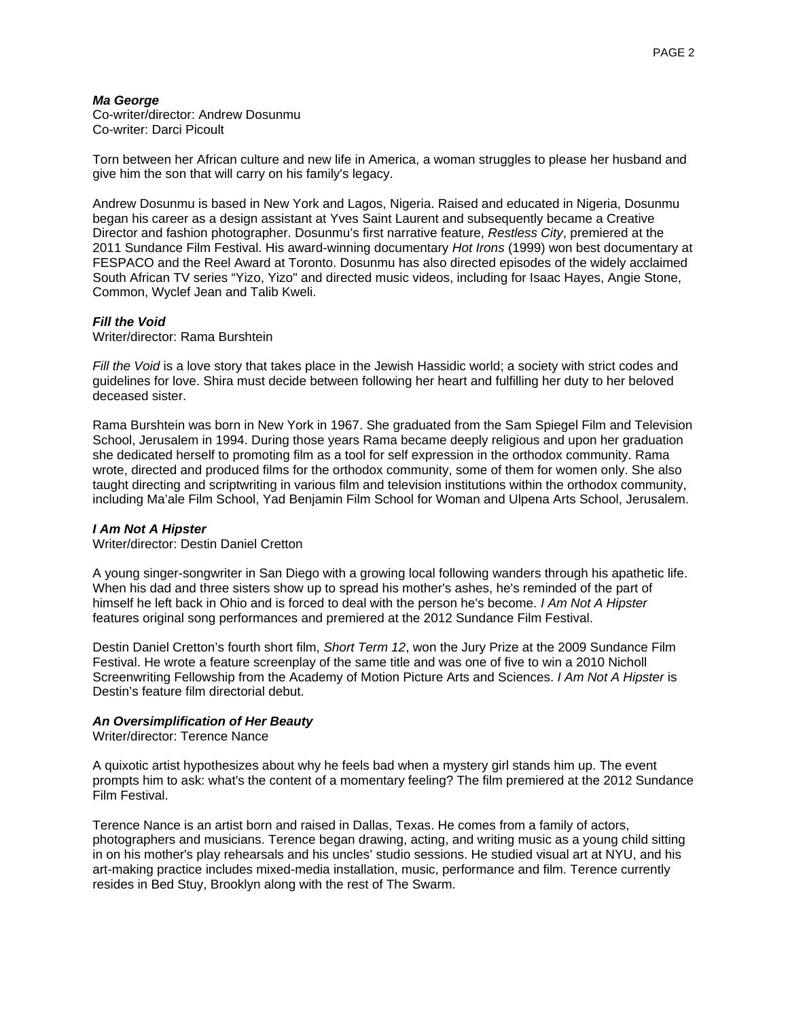## *Ma George*

Co-writer/director: Andrew Dosunmu Co-writer: Darci Picoult

Torn between her African culture and new life in America, a woman struggles to please her husband and give him the son that will carry on his family's legacy.

Andrew Dosunmu is based in New York and Lagos, Nigeria. Raised and educated in Nigeria, Dosunmu began his career as a design assistant at Yves Saint Laurent and subsequently became a Creative Director and fashion photographer. Dosunmu's first narrative feature, *Restless City*, premiered at the 2011 Sundance Film Festival. His award-winning documentary *Hot Irons* (1999) won best documentary at FESPACO and the Reel Award at Toronto. Dosunmu has also directed episodes of the widely acclaimed South African TV series "Yizo, Yizo" and directed music videos, including for Isaac Hayes, Angie Stone, Common, Wyclef Jean and Talib Kweli.

#### *Fill the Void*

Writer/director: Rama Burshtein

*Fill the Void* is a love story that takes place in the Jewish Hassidic world; a society with strict codes and guidelines for love. Shira must decide between following her heart and fulfilling her duty to her beloved deceased sister.

Rama Burshtein was born in New York in 1967. She graduated from the Sam Spiegel Film and Television School, Jerusalem in 1994. During those years Rama became deeply religious and upon her graduation she dedicated herself to promoting film as a tool for self expression in the orthodox community. Rama wrote, directed and produced films for the orthodox community, some of them for women only. She also taught directing and scriptwriting in various film and television institutions within the orthodox community, including Ma'ale Film School, Yad Benjamin Film School for Woman and Ulpena Arts School, Jerusalem.

#### *I Am Not A Hipster*

Writer/director: Destin Daniel Cretton

A young singer-songwriter in San Diego with a growing local following wanders through his apathetic life. When his dad and three sisters show up to spread his mother's ashes, he's reminded of the part of himself he left back in Ohio and is forced to deal with the person he's become. *I Am Not A Hipster* features original song performances and premiered at the 2012 Sundance Film Festival.

Destin Daniel Cretton's fourth short film, *Short Term 12*, won the Jury Prize at the 2009 Sundance Film Festival. He wrote a feature screenplay of the same title and was one of five to win a 2010 Nicholl Screenwriting Fellowship from the Academy of Motion Picture Arts and Sciences. *I Am Not A Hipster* is Destin's feature film directorial debut.

#### *An Oversimplification of Her Beauty*

Writer/director: Terence Nance

A quixotic artist hypothesizes about why he feels bad when a mystery girl stands him up. The event prompts him to ask: what's the content of a momentary feeling? The film premiered at the 2012 Sundance Film Festival.

Terence Nance is an artist born and raised in Dallas, Texas. He comes from a family of actors, photographers and musicians. Terence began drawing, acting, and writing music as a young child sitting in on his mother's play rehearsals and his uncles' studio sessions. He studied visual art at NYU, and his art-making practice includes mixed-media installation, music, performance and film. Terence currently resides in Bed Stuy, Brooklyn along with the rest of The Swarm.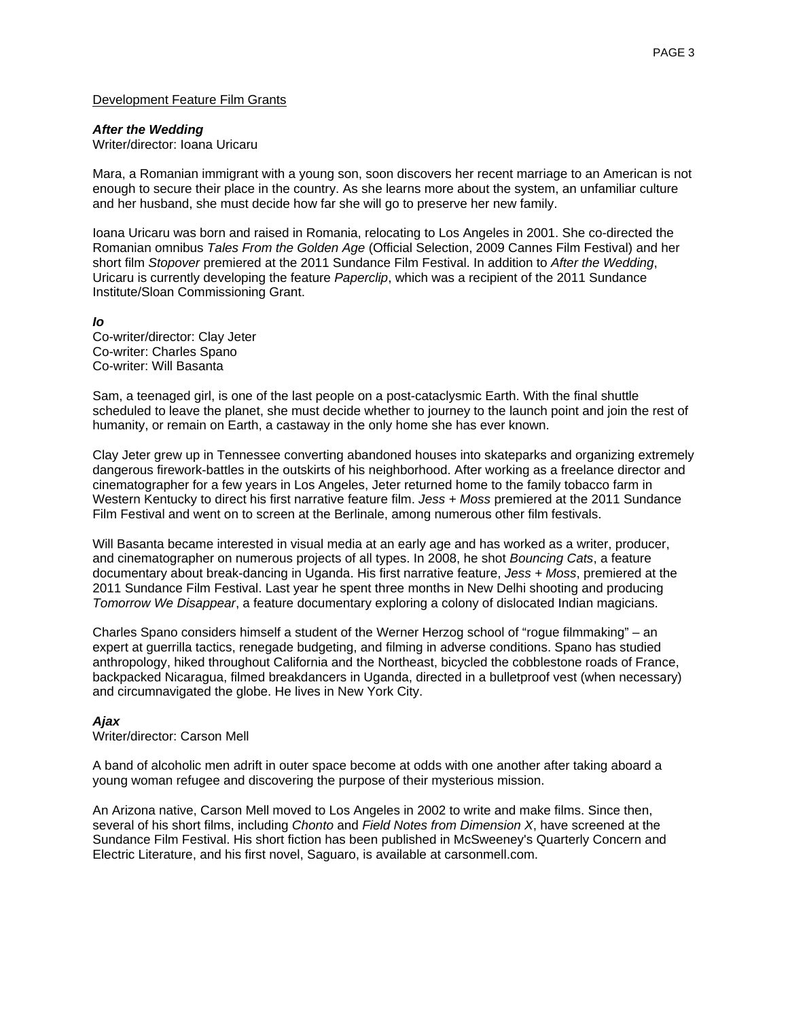# Development Feature Film Grants

#### *After the Wedding*

Writer/director: Ioana Uricaru

Mara, a Romanian immigrant with a young son, soon discovers her recent marriage to an American is not enough to secure their place in the country. As she learns more about the system, an unfamiliar culture and her husband, she must decide how far she will go to preserve her new family.

Ioana Uricaru was born and raised in Romania, relocating to Los Angeles in 2001. She co-directed the Romanian omnibus *Tales From the Golden Age* (Official Selection, 2009 Cannes Film Festival) and her short film *Stopover* premiered at the 2011 Sundance Film Festival. In addition to *After the Wedding*, Uricaru is currently developing the feature *Paperclip*, which was a recipient of the 2011 Sundance Institute/Sloan Commissioning Grant.

#### *Io*

Co-writer/director: Clay Jeter Co-writer: Charles Spano Co-writer: Will Basanta

Sam, a teenaged girl, is one of the last people on a post-cataclysmic Earth. With the final shuttle scheduled to leave the planet, she must decide whether to journey to the launch point and join the rest of humanity, or remain on Earth, a castaway in the only home she has ever known.

Clay Jeter grew up in Tennessee converting abandoned houses into skateparks and organizing extremely dangerous firework-battles in the outskirts of his neighborhood. After working as a freelance director and cinematographer for a few years in Los Angeles, Jeter returned home to the family tobacco farm in Western Kentucky to direct his first narrative feature film. *Jess + Moss* premiered at the 2011 Sundance Film Festival and went on to screen at the Berlinale, among numerous other film festivals.

Will Basanta became interested in visual media at an early age and has worked as a writer, producer, and cinematographer on numerous projects of all types. In 2008, he shot *Bouncing Cats*, a feature documentary about break-dancing in Uganda. His first narrative feature, *Jess + Moss*, premiered at the 2011 Sundance Film Festival. Last year he spent three months in New Delhi shooting and producing *Tomorrow We Disappear*, a feature documentary exploring a colony of dislocated Indian magicians.

Charles Spano considers himself a student of the Werner Herzog school of "rogue filmmaking" – an expert at guerrilla tactics, renegade budgeting, and filming in adverse conditions. Spano has studied anthropology, hiked throughout California and the Northeast, bicycled the cobblestone roads of France, backpacked Nicaragua, filmed breakdancers in Uganda, directed in a bulletproof vest (when necessary) and circumnavigated the globe. He lives in New York City.

# *Ajax*

Writer/director: Carson Mell

A band of alcoholic men adrift in outer space become at odds with one another after taking aboard a young woman refugee and discovering the purpose of their mysterious mission.

An Arizona native, Carson Mell moved to Los Angeles in 2002 to write and make films. Since then, several of his short films, including *Chonto* and *Field Notes from Dimension X*, have screened at the Sundance Film Festival. His short fiction has been published in McSweeney's Quarterly Concern and Electric Literature, and his first novel, Saguaro, is available at carsonmell.com.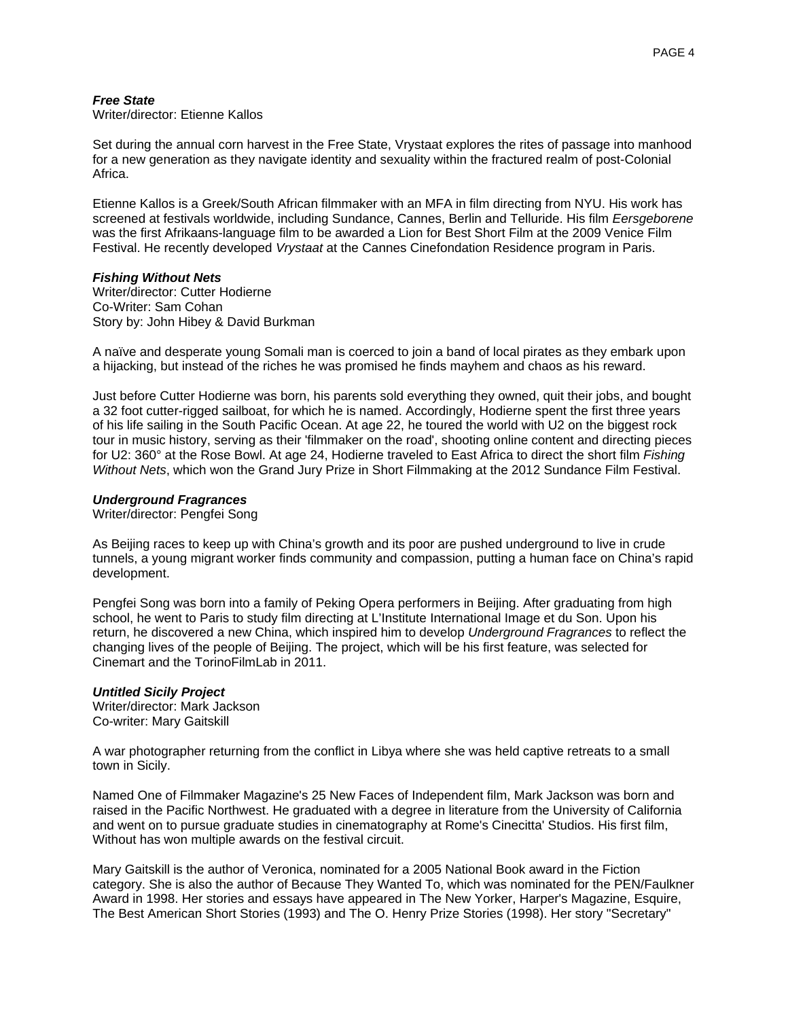#### *Free State*

Writer/director: Etienne Kallos

Set during the annual corn harvest in the Free State, Vrystaat explores the rites of passage into manhood for a new generation as they navigate identity and sexuality within the fractured realm of post-Colonial Africa.

Etienne Kallos is a Greek/South African filmmaker with an MFA in film directing from NYU. His work has screened at festivals worldwide, including Sundance, Cannes, Berlin and Telluride. His film *Eersgeborene* was the first Afrikaans-language film to be awarded a Lion for Best Short Film at the 2009 Venice Film Festival. He recently developed *Vrystaat* at the Cannes Cinefondation Residence program in Paris.

#### *Fishing Without Nets*

Writer/director: Cutter Hodierne Co-Writer: Sam Cohan Story by: John Hibey & David Burkman

A naïve and desperate young Somali man is coerced to join a band of local pirates as they embark upon a hijacking, but instead of the riches he was promised he finds mayhem and chaos as his reward.

Just before Cutter Hodierne was born, his parents sold everything they owned, quit their jobs, and bought a 32 foot cutter-rigged sailboat, for which he is named. Accordingly, Hodierne spent the first three years of his life sailing in the South Pacific Ocean. At age 22, he toured the world with U2 on the biggest rock tour in music history, serving as their 'filmmaker on the road', shooting online content and directing pieces for U2: 360° at the Rose Bowl. At age 24, Hodierne traveled to East Africa to direct the short film *Fishing Without Nets*, which won the Grand Jury Prize in Short Filmmaking at the 2012 Sundance Film Festival.

#### *Underground Fragrances*

Writer/director: Pengfei Song

As Beijing races to keep up with China's growth and its poor are pushed underground to live in crude tunnels, a young migrant worker finds community and compassion, putting a human face on China's rapid development.

Pengfei Song was born into a family of Peking Opera performers in Beijing. After graduating from high school, he went to Paris to study film directing at L'Institute International Image et du Son. Upon his return, he discovered a new China, which inspired him to develop *Underground Fragrances* to reflect the changing lives of the people of Beijing. The project, which will be his first feature, was selected for Cinemart and the TorinoFilmLab in 2011.

#### *Untitled Sicily Project*

Writer/director: Mark Jackson Co-writer: Mary Gaitskill

A war photographer returning from the conflict in Libya where she was held captive retreats to a small town in Sicily.

Named One of Filmmaker Magazine's 25 New Faces of Independent film, Mark Jackson was born and raised in the Pacific Northwest. He graduated with a degree in literature from the University of California and went on to pursue graduate studies in cinematography at Rome's Cinecitta' Studios. His first film, Without has won multiple awards on the festival circuit.

Mary Gaitskill is the author of Veronica, nominated for a 2005 National Book award in the Fiction category. She is also the author of Because They Wanted To, which was nominated for the PEN/Faulkner Award in 1998. Her stories and essays have appeared in The New Yorker, Harper's Magazine, Esquire, The Best American Short Stories (1993) and The O. Henry Prize Stories (1998). Her story "Secretary"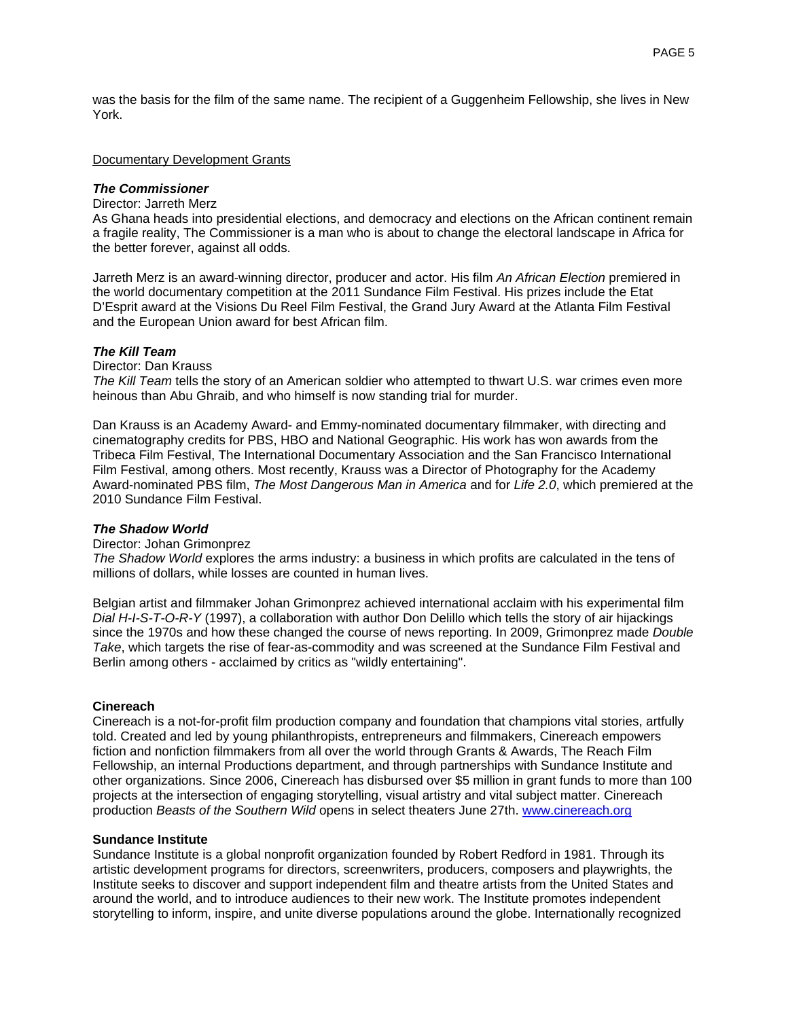was the basis for the film of the same name. The recipient of a Guggenheim Fellowship, she lives in New York.

#### Documentary Development Grants

## *The Commissioner*

#### Director: Jarreth Merz

As Ghana heads into presidential elections, and democracy and elections on the African continent remain a fragile reality, The Commissioner is a man who is about to change the electoral landscape in Africa for the better forever, against all odds.

Jarreth Merz is an award-winning director, producer and actor. His film *An African Election* premiered in the world documentary competition at the 2011 Sundance Film Festival. His prizes include the Etat D'Esprit award at the Visions Du Reel Film Festival, the Grand Jury Award at the Atlanta Film Festival and the European Union award for best African film.

#### *The Kill Team*

Director: Dan Krauss

*The Kill Team* tells the story of an American soldier who attempted to thwart U.S. war crimes even more heinous than Abu Ghraib, and who himself is now standing trial for murder.

Dan Krauss is an Academy Award- and Emmy-nominated documentary filmmaker, with directing and cinematography credits for PBS, HBO and National Geographic. His work has won awards from the Tribeca Film Festival, The International Documentary Association and the San Francisco International Film Festival, among others. Most recently, Krauss was a Director of Photography for the Academy Award-nominated PBS film, *The Most Dangerous Man in America* and for *Life 2.0*, which premiered at the 2010 Sundance Film Festival.

#### *The Shadow World*

#### Director: Johan Grimonprez

*The Shadow World* explores the arms industry: a business in which profits are calculated in the tens of millions of dollars, while losses are counted in human lives.

Belgian artist and filmmaker Johan Grimonprez achieved international acclaim with his experimental film *Dial H-I-S-T-O-R-Y* (1997), a collaboration with author Don Delillo which tells the story of air hijackings since the 1970s and how these changed the course of news reporting. In 2009, Grimonprez made *Double Take*, which targets the rise of fear-as-commodity and was screened at the Sundance Film Festival and Berlin among others - acclaimed by critics as "wildly entertaining".

#### **Cinereach**

Cinereach is a not-for-profit film production company and foundation that champions vital stories, artfully told. Created and led by young philanthropists, entrepreneurs and filmmakers, Cinereach empowers fiction and nonfiction filmmakers from all over the world through Grants & Awards, The Reach Film Fellowship, an internal Productions department, and through partnerships with Sundance Institute and other organizations. Since 2006, Cinereach has disbursed over \$5 million in grant funds to more than 100 projects at the intersection of engaging storytelling, visual artistry and vital subject matter. Cinereach production *Beasts of the Southern Wild* opens in select theaters June 27th. www.cinereach.org

#### **Sundance Institute**

Sundance Institute is a global nonprofit organization founded by Robert Redford in 1981. Through its artistic development programs for directors, screenwriters, producers, composers and playwrights, the Institute seeks to discover and support independent film and theatre artists from the United States and around the world, and to introduce audiences to their new work. The Institute promotes independent storytelling to inform, inspire, and unite diverse populations around the globe. Internationally recognized